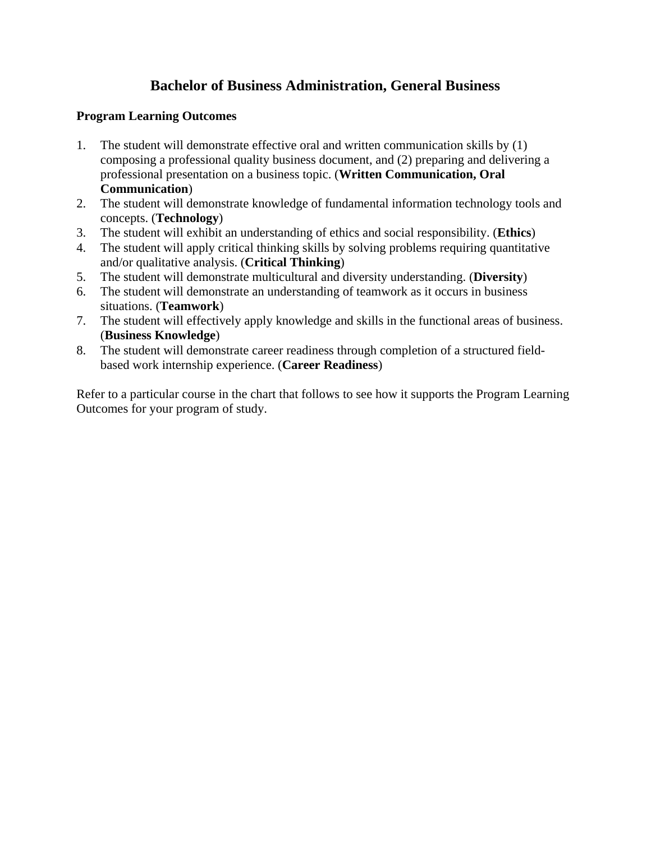## **Bachelor of Business Administration, General Business**

## **Program Learning Outcomes**

- 1. The student will demonstrate effective oral and written communication skills by (1) composing a professional quality business document, and (2) preparing and delivering a professional presentation on a business topic. (**Written Communication, Oral Communication**)
- 2. The student will demonstrate knowledge of fundamental information technology tools and concepts. (**Technology**)
- 3. The student will exhibit an understanding of ethics and social responsibility. (**Ethics**)
- 4. The student will apply critical thinking skills by solving problems requiring quantitative and/or qualitative analysis. (**Critical Thinking**)
- 5. The student will demonstrate multicultural and diversity understanding. (**Diversity**)
- 6. The student will demonstrate an understanding of teamwork as it occurs in business situations. (**Teamwork**)
- 7. The student will effectively apply knowledge and skills in the functional areas of business. (**Business Knowledge**)
- 8. The student will demonstrate career readiness through completion of a structured fieldbased work internship experience. (**Career Readiness**)

Refer to a particular course in the chart that follows to see how it supports the Program Learning Outcomes for your program of study.